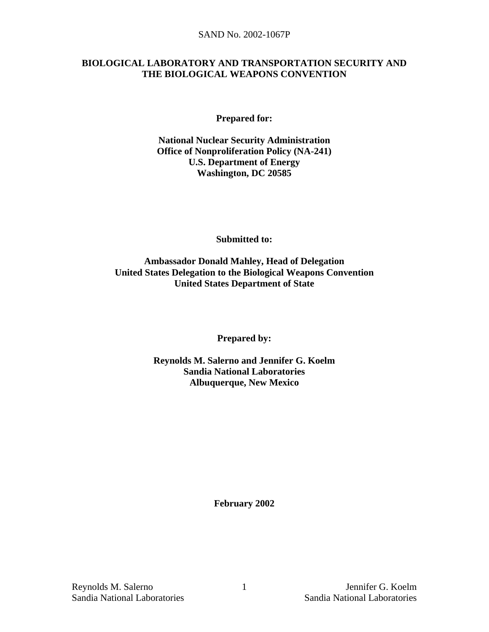#### **BIOLOGICAL LABORATORY AND TRANSPORTATION SECURITY AND THE BIOLOGICAL WEAPONS CONVENTION**

**Prepared for:** 

**National Nuclear Security Administration Office of Nonproliferation Policy (NA-241) U.S. Department of Energy Washington, DC 20585** 

**Submitted to:** 

**Ambassador Donald Mahley, Head of Delegation United States Delegation to the Biological Weapons Convention United States Department of State** 

**Prepared by:** 

**Reynolds M. Salerno and Jennifer G. Koelm Sandia National Laboratories Albuquerque, New Mexico** 

**February 2002**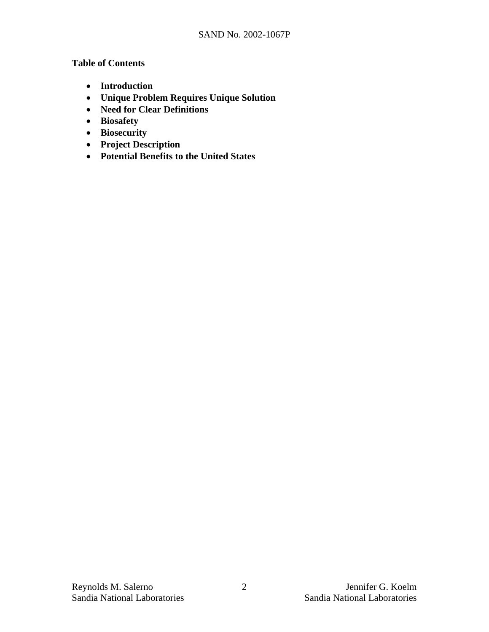### **Table of Contents**

- **Introduction**
- **Unique Problem Requires Unique Solution**
- **Need for Clear Definitions**
- **Biosafety**
- **Biosecurity**
- **Project Description**
- **Potential Benefits to the United States**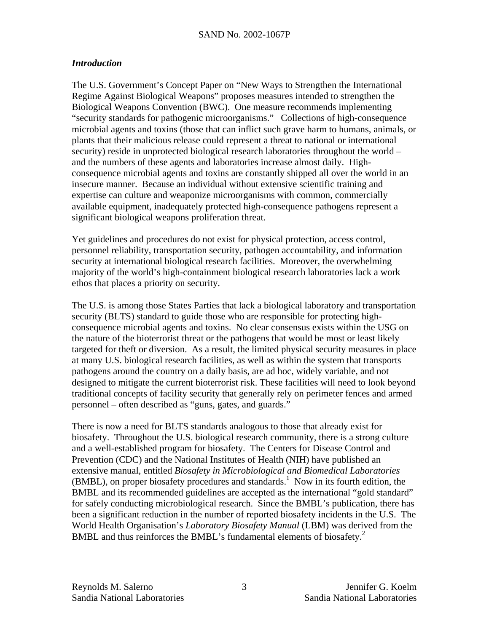### *Introduction*

The U.S. Government's Concept Paper on "New Ways to Strengthen the International Regime Against Biological Weapons" proposes measures intended to strengthen the Biological Weapons Convention (BWC). One measure recommends implementing "security standards for pathogenic microorganisms." Collections of high-consequence microbial agents and toxins (those that can inflict such grave harm to humans, animals, or plants that their malicious release could represent a threat to national or international security) reside in unprotected biological research laboratories throughout the world – and the numbers of these agents and laboratories increase almost daily. Highconsequence microbial agents and toxins are constantly shipped all over the world in an insecure manner. Because an individual without extensive scientific training and expertise can culture and weaponize microorganisms with common, commercially available equipment, inadequately protected high-consequence pathogens represent a significant biological weapons proliferation threat.

Yet guidelines and procedures do not exist for physical protection, access control, personnel reliability, transportation security, pathogen accountability, and information security at international biological research facilities. Moreover, the overwhelming majority of the world's high-containment biological research laboratories lack a work ethos that places a priority on security.

The U.S. is among those States Parties that lack a biological laboratory and transportation security (BLTS) standard to guide those who are responsible for protecting highconsequence microbial agents and toxins. No clear consensus exists within the USG on the nature of the bioterrorist threat or the pathogens that would be most or least likely targeted for theft or diversion. As a result, the limited physical security measures in place at many U.S. biological research facilities, as well as within the system that transports pathogens around the country on a daily basis, are ad hoc, widely variable, and not designed to mitigate the current bioterrorist risk. These facilities will need to look beyond traditional concepts of facility security that generally rely on perimeter fences and armed personnel – often described as "guns, gates, and guards."

There is now a need for BLTS standards analogous to those that already exist for biosafety. Throughout the U.S. biological research community, there is a strong culture and a well-established program for biosafety. The Centers for Disease Control and Prevention (CDC) and the National Institutes of Health (NIH) have published an extensive manual, entitled *Biosafety in Microbiological and Biomedical Laboratories*  $(BMBL)$ , on proper biosafety procedures and standards.<sup>1</sup> Now in its fourth edition, the BMBL and its recommended guidelines are accepted as the international "gold standard" for safely conducting microbiological research. Since the BMBL's publication, there has been a significant reduction in the number of reported biosafety incidents in the U.S. The World Health Organisation's *Laboratory Biosafety Manual* (LBM) was derived from the BMBL and thus reinforces the BMBL's fundamental elements of biosafety.<sup>2</sup>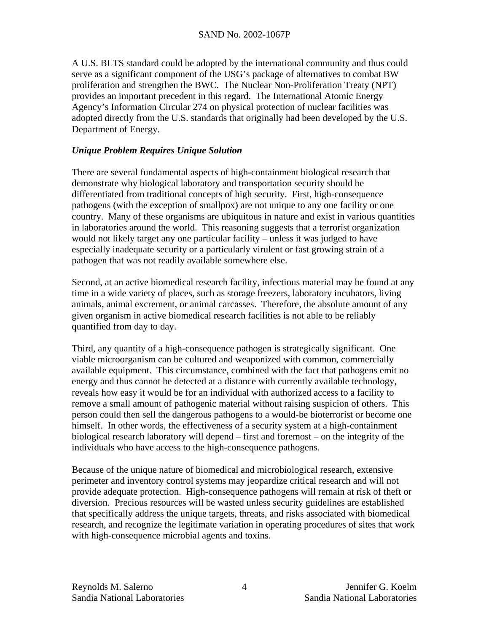A U.S. BLTS standard could be adopted by the international community and thus could serve as a significant component of the USG's package of alternatives to combat BW proliferation and strengthen the BWC. The Nuclear Non-Proliferation Treaty (NPT) provides an important precedent in this regard. The International Atomic Energy Agency's Information Circular 274 on physical protection of nuclear facilities was adopted directly from the U.S. standards that originally had been developed by the U.S. Department of Energy.

## *Unique Problem Requires Unique Solution*

There are several fundamental aspects of high-containment biological research that demonstrate why biological laboratory and transportation security should be differentiated from traditional concepts of high security. First, high-consequence pathogens (with the exception of smallpox) are not unique to any one facility or one country. Many of these organisms are ubiquitous in nature and exist in various quantities in laboratories around the world. This reasoning suggests that a terrorist organization would not likely target any one particular facility – unless it was judged to have especially inadequate security or a particularly virulent or fast growing strain of a pathogen that was not readily available somewhere else.

Second, at an active biomedical research facility, infectious material may be found at any time in a wide variety of places, such as storage freezers, laboratory incubators, living animals, animal excrement, or animal carcasses. Therefore, the absolute amount of any given organism in active biomedical research facilities is not able to be reliably quantified from day to day.

Third, any quantity of a high-consequence pathogen is strategically significant. One viable microorganism can be cultured and weaponized with common, commercially available equipment. This circumstance, combined with the fact that pathogens emit no energy and thus cannot be detected at a distance with currently available technology, reveals how easy it would be for an individual with authorized access to a facility to remove a small amount of pathogenic material without raising suspicion of others. This person could then sell the dangerous pathogens to a would-be bioterrorist or become one himself. In other words, the effectiveness of a security system at a high-containment biological research laboratory will depend – first and foremost – on the integrity of the individuals who have access to the high-consequence pathogens.

Because of the unique nature of biomedical and microbiological research, extensive perimeter and inventory control systems may jeopardize critical research and will not provide adequate protection. High-consequence pathogens will remain at risk of theft or diversion. Precious resources will be wasted unless security guidelines are established that specifically address the unique targets, threats, and risks associated with biomedical research, and recognize the legitimate variation in operating procedures of sites that work with high-consequence microbial agents and toxins.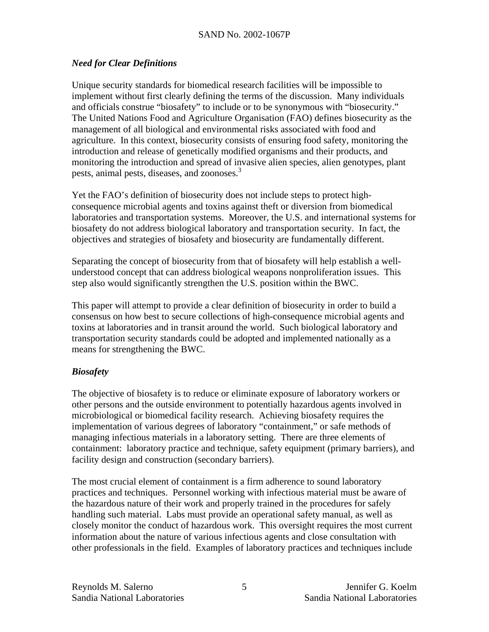# *Need for Clear Definitions*

Unique security standards for biomedical research facilities will be impossible to implement without first clearly defining the terms of the discussion. Many individuals and officials construe "biosafety" to include or to be synonymous with "biosecurity." The United Nations Food and Agriculture Organisation (FAO) defines biosecurity as the management of all biological and environmental risks associated with food and agriculture. In this context, biosecurity consists of ensuring food safety, monitoring the introduction and release of genetically modified organisms and their products, and monitoring the introduction and spread of invasive alien species, alien genotypes, plant pests, animal pests, diseases, and zoonoses.<sup>3</sup>

Yet the FAO's definition of biosecurity does not include steps to protect highconsequence microbial agents and toxins against theft or diversion from biomedical laboratories and transportation systems. Moreover, the U.S. and international systems for biosafety do not address biological laboratory and transportation security. In fact, the objectives and strategies of biosafety and biosecurity are fundamentally different.

Separating the concept of biosecurity from that of biosafety will help establish a wellunderstood concept that can address biological weapons nonproliferation issues. This step also would significantly strengthen the U.S. position within the BWC.

This paper will attempt to provide a clear definition of biosecurity in order to build a consensus on how best to secure collections of high-consequence microbial agents and toxins at laboratories and in transit around the world. Such biological laboratory and transportation security standards could be adopted and implemented nationally as a means for strengthening the BWC.

# *Biosafety*

The objective of biosafety is to reduce or eliminate exposure of laboratory workers or other persons and the outside environment to potentially hazardous agents involved in microbiological or biomedical facility research. Achieving biosafety requires the implementation of various degrees of laboratory "containment," or safe methods of managing infectious materials in a laboratory setting. There are three elements of containment: laboratory practice and technique, safety equipment (primary barriers), and facility design and construction (secondary barriers).

The most crucial element of containment is a firm adherence to sound laboratory practices and techniques. Personnel working with infectious material must be aware of the hazardous nature of their work and properly trained in the procedures for safely handling such material. Labs must provide an operational safety manual, as well as closely monitor the conduct of hazardous work. This oversight requires the most current information about the nature of various infectious agents and close consultation with other professionals in the field. Examples of laboratory practices and techniques include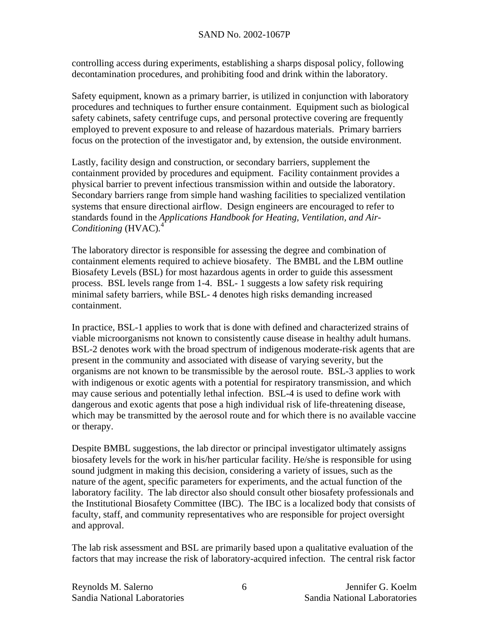controlling access during experiments, establishing a sharps disposal policy, following decontamination procedures, and prohibiting food and drink within the laboratory.

Safety equipment, known as a primary barrier, is utilized in conjunction with laboratory procedures and techniques to further ensure containment. Equipment such as biological safety cabinets, safety centrifuge cups, and personal protective covering are frequently employed to prevent exposure to and release of hazardous materials. Primary barriers focus on the protection of the investigator and, by extension, the outside environment.

Lastly, facility design and construction, or secondary barriers, supplement the containment provided by procedures and equipment. Facility containment provides a physical barrier to prevent infectious transmission within and outside the laboratory. Secondary barriers range from simple hand washing facilities to specialized ventilation systems that ensure directional airflow. Design engineers are encouraged to refer to standards found in the *Applications Handbook for Heating, Ventilation, and Air-Conditioning* (HVAC)*.* 4

The laboratory director is responsible for assessing the degree and combination of containment elements required to achieve biosafety. The BMBL and the LBM outline Biosafety Levels (BSL) for most hazardous agents in order to guide this assessment process. BSL levels range from 1-4. BSL- 1 suggests a low safety risk requiring minimal safety barriers, while BSL- 4 denotes high risks demanding increased containment.

In practice, BSL-1 applies to work that is done with defined and characterized strains of viable microorganisms not known to consistently cause disease in healthy adult humans. BSL-2 denotes work with the broad spectrum of indigenous moderate-risk agents that are present in the community and associated with disease of varying severity, but the organisms are not known to be transmissible by the aerosol route. BSL-3 applies to work with indigenous or exotic agents with a potential for respiratory transmission, and which may cause serious and potentially lethal infection. BSL-4 is used to define work with dangerous and exotic agents that pose a high individual risk of life-threatening disease, which may be transmitted by the aerosol route and for which there is no available vaccine or therapy.

Despite BMBL suggestions, the lab director or principal investigator ultimately assigns biosafety levels for the work in his/her particular facility. He/she is responsible for using sound judgment in making this decision, considering a variety of issues, such as the nature of the agent, specific parameters for experiments, and the actual function of the laboratory facility. The lab director also should consult other biosafety professionals and the Institutional Biosafety Committee (IBC). The IBC is a localized body that consists of faculty, staff, and community representatives who are responsible for project oversight and approval.

The lab risk assessment and BSL are primarily based upon a qualitative evaluation of the factors that may increase the risk of laboratory-acquired infection. The central risk factor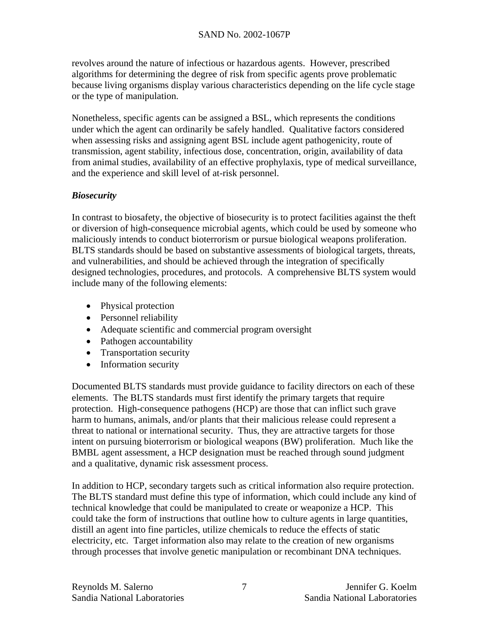revolves around the nature of infectious or hazardous agents. However, prescribed algorithms for determining the degree of risk from specific agents prove problematic because living organisms display various characteristics depending on the life cycle stage or the type of manipulation.

Nonetheless, specific agents can be assigned a BSL, which represents the conditions under which the agent can ordinarily be safely handled. Qualitative factors considered when assessing risks and assigning agent BSL include agent pathogenicity, route of transmission, agent stability, infectious dose, concentration, origin, availability of data from animal studies, availability of an effective prophylaxis, type of medical surveillance, and the experience and skill level of at-risk personnel.

## *Biosecurity*

In contrast to biosafety, the objective of biosecurity is to protect facilities against the theft or diversion of high-consequence microbial agents, which could be used by someone who maliciously intends to conduct bioterrorism or pursue biological weapons proliferation. BLTS standards should be based on substantive assessments of biological targets, threats, and vulnerabilities, and should be achieved through the integration of specifically designed technologies, procedures, and protocols. A comprehensive BLTS system would include many of the following elements:

- Physical protection
- Personnel reliability
- Adequate scientific and commercial program oversight
- Pathogen accountability
- Transportation security
- Information security

Documented BLTS standards must provide guidance to facility directors on each of these elements. The BLTS standards must first identify the primary targets that require protection. High-consequence pathogens (HCP) are those that can inflict such grave harm to humans, animals, and/or plants that their malicious release could represent a threat to national or international security. Thus, they are attractive targets for those intent on pursuing bioterrorism or biological weapons (BW) proliferation. Much like the BMBL agent assessment, a HCP designation must be reached through sound judgment and a qualitative, dynamic risk assessment process.

In addition to HCP, secondary targets such as critical information also require protection. The BLTS standard must define this type of information, which could include any kind of technical knowledge that could be manipulated to create or weaponize a HCP. This could take the form of instructions that outline how to culture agents in large quantities, distill an agent into fine particles, utilize chemicals to reduce the effects of static electricity, etc. Target information also may relate to the creation of new organisms through processes that involve genetic manipulation or recombinant DNA techniques.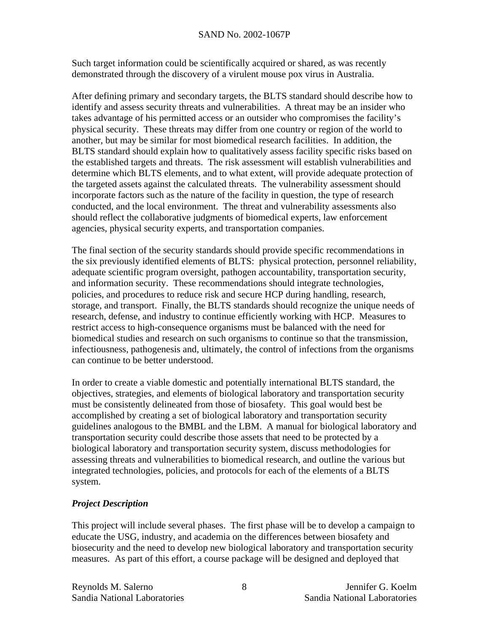Such target information could be scientifically acquired or shared, as was recently demonstrated through the discovery of a virulent mouse pox virus in Australia.

After defining primary and secondary targets, the BLTS standard should describe how to identify and assess security threats and vulnerabilities. A threat may be an insider who takes advantage of his permitted access or an outsider who compromises the facility's physical security. These threats may differ from one country or region of the world to another, but may be similar for most biomedical research facilities. In addition, the BLTS standard should explain how to qualitatively assess facility specific risks based on the established targets and threats. The risk assessment will establish vulnerabilities and determine which BLTS elements, and to what extent, will provide adequate protection of the targeted assets against the calculated threats. The vulnerability assessment should incorporate factors such as the nature of the facility in question, the type of research conducted, and the local environment. The threat and vulnerability assessments also should reflect the collaborative judgments of biomedical experts, law enforcement agencies, physical security experts, and transportation companies.

The final section of the security standards should provide specific recommendations in the six previously identified elements of BLTS: physical protection, personnel reliability, adequate scientific program oversight, pathogen accountability, transportation security, and information security. These recommendations should integrate technologies, policies, and procedures to reduce risk and secure HCP during handling, research, storage, and transport. Finally, the BLTS standards should recognize the unique needs of research, defense, and industry to continue efficiently working with HCP. Measures to restrict access to high-consequence organisms must be balanced with the need for biomedical studies and research on such organisms to continue so that the transmission, infectiousness, pathogenesis and, ultimately, the control of infections from the organisms can continue to be better understood.

In order to create a viable domestic and potentially international BLTS standard, the objectives, strategies, and elements of biological laboratory and transportation security must be consistently delineated from those of biosafety. This goal would best be accomplished by creating a set of biological laboratory and transportation security guidelines analogous to the BMBL and the LBM. A manual for biological laboratory and transportation security could describe those assets that need to be protected by a biological laboratory and transportation security system, discuss methodologies for assessing threats and vulnerabilities to biomedical research, and outline the various but integrated technologies, policies, and protocols for each of the elements of a BLTS system.

#### *Project Description*

This project will include several phases. The first phase will be to develop a campaign to educate the USG, industry, and academia on the differences between biosafety and biosecurity and the need to develop new biological laboratory and transportation security measures. As part of this effort, a course package will be designed and deployed that